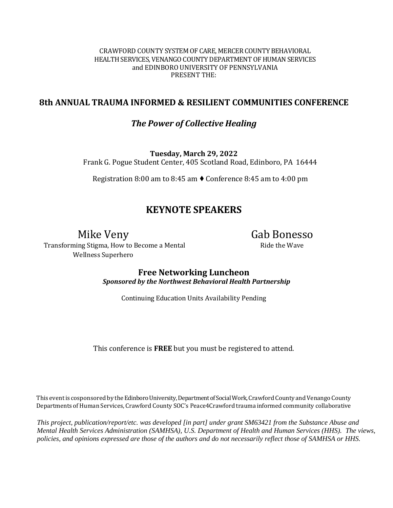#### CRAWFORD COUNTY SYSTEM OF CARE, MERCER COUNTY BEHAVIORAL HEALTH SERVICES, VENANGO COUNTY DEPARTMENT OF HUMAN SERVICES and EDINBORO UNIVERSITY OF PENNSYLVANIA PRESENT THE:

# **8th ANNUAL TRAUMA INFORMED & RESILIENT COMMUNITIES CONFERENCE**

# *The Power of Collective Healing*

**Tuesday, March 29, 2022** Frank G. Pogue Student Center, 405 Scotland Road, Edinboro, PA 16444

Registration 8:00 am to 8:45 am ♦ Conference 8:45 am to 4:00 pm

# **KEYNOTE SPEAKERS**

# Mike Veny

Transforming Stigma, How to Become a Mental Wellness Superhero

Gab Bonesso Ride the Wave

**Free Networking Luncheon**  *Sponsored by the Northwest Behavioral Health Partnership*

Continuing Education Units Availability Pending

This conference is **FREE** but you must be registered to attend.

This event is cosponsored by the Edinboro University, Department of Social Work, Crawford County and Venango County Departments ofHuman Services, Crawford County SOC's Peace4Crawford trauma informed community collaborative

*This project, publication/report/etc. was developed [in part] under grant SM63421 from the Substance Abuse and Mental Health Services Administration (SAMHSA), U.S. Department of Health and Human Services (HHS). The views, policies, and opinions expressed are those of the authors and do not necessarily reflect those of SAMHSA or HHS.*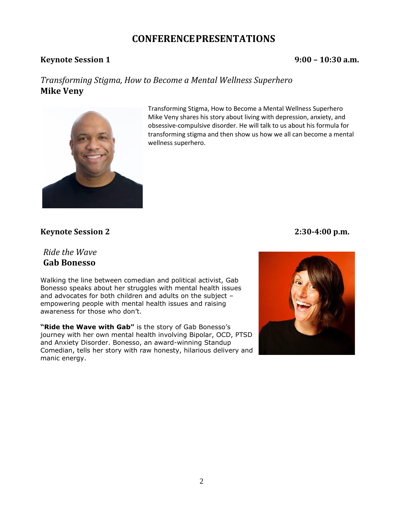# **CONFERENCEPRESENTATIONS**

# **Keynote Session 1 9:00 – 10:30 a.m.**

# *Transforming Stigma, How to Become a Mental Wellness Superhero* **Mike Veny**



Transforming Stigma, How to Become a Mental Wellness Superhero Mike Veny shares his story about living with depression, anxiety, and obsessive-compulsive disorder. He will talk to us about his formula for transforming stigma and then show us how we all can become a mental wellness superhero.

# **Keynote Session 2 2:30-4:00 p.m.**

# *Ride the Wave* **Gab Bonesso**

Walking the line between comedian and political activist, Gab Bonesso speaks about her struggles with mental health issues and advocates for both children and adults on the subject – empowering people with mental health issues and raising awareness for those who don't.

**"Ride the Wave with Gab"** is the story of Gab Bonesso's journey with her own mental health involving Bipolar, OCD, PTSD and Anxiety Disorder. Bonesso, an award-winning Standup Comedian, tells her story with raw honesty, hilarious delivery and manic energy.

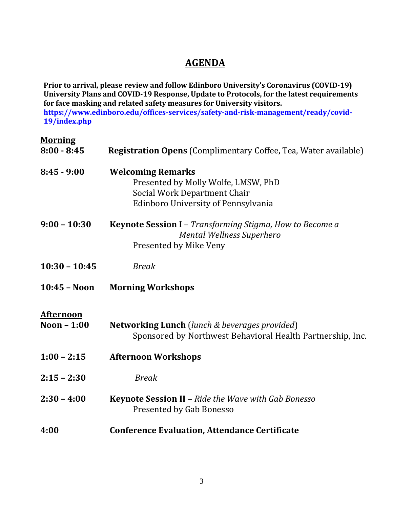# **AGENDA**

**Prior to arrival, please review and follow Edinboro University's Coronavirus (COVID-19) University Plans and COVID-19 Response, Update to Protocols, for the latest requirements for face masking and related safety measures for University visitors. [https://www.edinboro.edu/offices-services/safety-and-risk-management/ready/covid-](https://www.edinboro.edu/offices-services/safety-and-risk-management/ready/covid-19/index.php)[19/index.php](https://www.edinboro.edu/offices-services/safety-and-risk-management/ready/covid-19/index.php)**

# **Morning**

| $8:00 - 8:45$                   | <b>Registration Opens</b> (Complimentary Coffee, Tea, Water available)                                                                 |  |
|---------------------------------|----------------------------------------------------------------------------------------------------------------------------------------|--|
| $8:45 - 9:00$                   | <b>Welcoming Remarks</b><br>Presented by Molly Wolfe, LMSW, PhD<br>Social Work Department Chair<br>Edinboro University of Pennsylvania |  |
| $9:00 - 10:30$                  | Keynote Session I - Transforming Stigma, How to Become a<br><b>Mental Wellness Superhero</b><br>Presented by Mike Veny                 |  |
| $10:30 - 10:45$                 | <b>Break</b>                                                                                                                           |  |
| $10:45 - Noon$                  | <b>Morning Workshops</b>                                                                                                               |  |
| <b>Afternoon</b><br>Noon - 1:00 | <b>Networking Lunch</b> (lunch & beverages provided)<br>Sponsored by Northwest Behavioral Health Partnership, Inc.                     |  |
| $1:00 - 2:15$                   | <b>Afternoon Workshops</b>                                                                                                             |  |
| $2:15 - 2:30$                   | <b>Break</b>                                                                                                                           |  |
| $2:30 - 4:00$                   | <b>Keynote Session II - Ride the Wave with Gab Bonesso</b><br>Presented by Gab Bonesso                                                 |  |
| 4:00                            | <b>Conference Evaluation, Attendance Certificate</b>                                                                                   |  |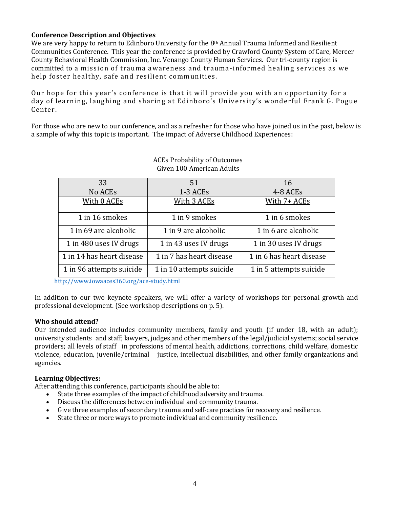#### **Conference Description and Objectives**

We are very happy to return to Edinboro University for the 8<sup>th</sup> Annual Trauma Informed and Resilient Communities Conference. This year the conference is provided by Crawford County System of Care, Mercer County Behavioral Health Commission, Inc. Venango County Human Services. Our tri-county region is committed to a mission of trauma awareness and trauma -informed healing services as we help foster healthy, safe and resilient communities.

Our hope for this year's conference is that it will provide you with an opportunity for a day of learning, laughing and sharing at Edinboro's University's wonderful Frank G. Pogue Center.

For those who are new to our conference, and as a refresher for those who have joined us in the past, below is a sample of why this topic is important. The impact of Adverse Childhood Experiences:

| 33                        | 51                       | 16                       |
|---------------------------|--------------------------|--------------------------|
| No ACE <sub>s</sub>       | 1-3 ACEs                 | 4-8 ACEs                 |
| With 0 ACEs               | With 3 ACEs              | With 7+ ACEs             |
| 1 in 16 smokes            | 1 in 9 smokes            | 1 in 6 smokes            |
| 1 in 69 are alcoholic     | 1 in 9 are alcoholic     | 1 in 6 are alcoholic     |
| 1 in 480 uses IV drugs    | 1 in 43 uses IV drugs    | 1 in 30 uses IV drugs    |
| 1 in 14 has heart disease | 1 in 7 has heart disease | 1 in 6 has heart disease |
| 1 in 96 attempts suicide  | 1 in 10 attempts suicide | 1 in 5 attempts suicide  |

### ACEs Probability of Outcomes Given 100 American Adults

<http://www.iowaaces360.org/ace-study.html>

In addition to our two keynote speakers, we will offer a variety of workshops for personal growth and professional development. (See workshop descriptions on p. 5).

#### **Who should attend?**

Our intended audience includes community members, family and youth (if under 18, with an adult); university students and staff; lawyers, judges and other members of the legal/judicial systems; social service providers; all levels of staff in professions of mental health, addictions, corrections, child welfare, domestic violence, education, juvenile/criminal justice, intellectual disabilities, and other family organizations and agencies.

#### **Learning Objectives:**

After attending this conference, participants should be able to:

- State three examples of the impact of childhood adversity and trauma.
- Discuss the differences between individual and community trauma.
- Give three examples of secondary trauma and self-care practices for recovery and resilience.
- State three or more ways to promote individual and community resilience.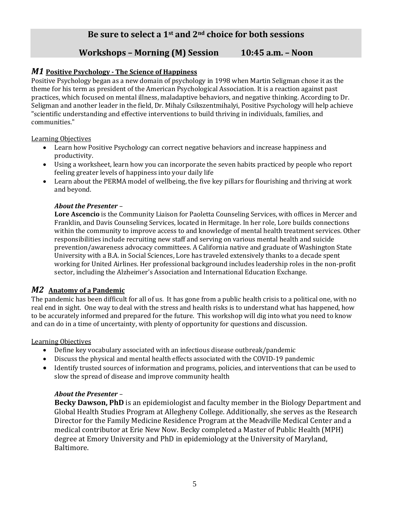# **Be sure to select a 1st and 2nd choice for both sessions**

# **Workshops – Morning (M) Session 10:45 a.m. – Noon**

# *M1* **Positive Psychology - The Science of Happiness**

Positive Psychology began as a new domain of psychology in 1998 when Martin Seligman chose it as the theme for his term as president of the American Psychological Association. It is a reaction against past practices, which focused on mental illness, maladaptive behaviors, and negative thinking. According to Dr. Seligman and another leader in the field, Dr. Mihaly Csikszentmihalyi, Positive Psychology will help achieve "scientific understanding and effective interventions to build thriving in individuals, families, and communities."

#### Learning Objectives

- Learn how Positive Psychology can correct negative behaviors and increase happiness and productivity.
- Using a worksheet, learn how you can incorporate the seven habits practiced by people who report feeling greater levels of happiness into your daily life
- Learn about the PERMA model of wellbeing, the five key pillars for flourishing and thriving at work and beyond.

### *About the Presenter* –

**Lore Ascencio** is the Community Liaison for Paoletta Counseling Services, with offices in Mercer and Franklin, and Davis Counseling Services, located in Hermitage. In her role, Lore builds connections within the community to improve access to and knowledge of mental health treatment services. Other responsibilities include recruiting new staff and serving on various mental health and suicide prevention/awareness advocacy committees. A California native and graduate of Washington State University with a B.A. in Social Sciences, Lore has traveled extensively thanks to a decade spent working for United Airlines. Her professional background includes leadership roles in the non-profit sector, including the Alzheimer's Association and International Education Exchange.

# *M2* **Anatomy of a Pandemic**

The pandemic has been difficult for all of us. It has gone from a public health crisis to a political one, with no real end in sight. One way to deal with the stress and health risks is to understand what has happened, how to be accurately informed and prepared for the future. This workshop will dig into what you need to know and can do in a time of uncertainty, with plenty of opportunity for questions and discussion.

#### Learning Objectives

- Define key vocabulary associated with an infectious disease outbreak/pandemic
- Discuss the physical and mental health effects associated with the COVID-19 pandemic
- Identify trusted sources of information and programs, policies, and interventions that can be used to slow the spread of disease and improve community health

#### *About the Presenter* –

**Becky Dawson, PhD** is an epidemiologist and faculty member in the Biology Department and Global Health Studies Program at Allegheny College. Additionally, she serves as the Research Director for the Family Medicine Residence Program at the Meadville Medical Center and a medical contributor at Erie New Now. Becky completed a Master of Public Health (MPH) degree at Emory University and PhD in epidemiology at the University of Maryland, Baltimore.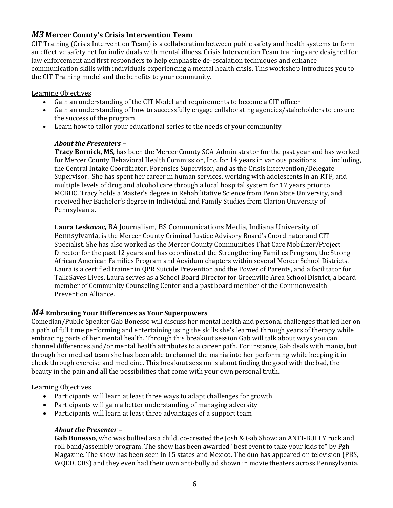# *M3* **Mercer County's Crisis Intervention Team**

CIT Training (Crisis Intervention Team) is a collaboration between public safety and health systems to form an effective safety net for individuals with mental illness. Crisis Intervention Team trainings are designed for law enforcement and first responders to help emphasize de-escalation techniques and enhance communication skills with individuals experiencing a mental health crisis. This workshop introduces you to the CIT Training model and the benefits to your community.

#### Learning Objectives

- Gain an understanding of the CIT Model and requirements to become a CIT officer
- Gain an understanding of how to successfully engage collaborating agencies/stakeholders to ensure the success of the program
- Learn how to tailor your educational series to the needs of your community

### *About the Presenters –*

**Tracy Bornick, MS**, has been the Mercer County SCA Administrator for the past year and has worked for Mercer County Behavioral Health Commission, Inc. for 14 years in various positions including, the Central Intake Coordinator, Forensics Supervisor, and as the Crisis Intervention/Delegate Supervisor. She has spent her career in human services, working with adolescents in an RTF, and multiple levels of drug and alcohol care through a local hospital system for 17 years prior to MCBHC. Tracy holds a Master's degree in Rehabilitative Science from Penn State University, and received her Bachelor's degree in Individual and Family Studies from Clarion University of Pennsylvania.

**Laura Leskovac,** BA Journalism, BS Communications Media, Indiana University of Pennsylvania, is the Mercer County Criminal Justice Advisory Board's Coordinator and CIT Specialist. She has also worked as the Mercer County Communities That Care Mobilizer/Project Director for the past 12 years and has coordinated the Strengthening Families Program, the Strong African American Families Program and Aevidum chapters within several Mercer School Districts. Laura is a certified trainer in QPR Suicide Prevention and the Power of Parents, and a facilitator for Talk Saves Lives. Laura serves as a School Board Director for Greenville Area School District, a board member of Community Counseling Center and a past board member of the Commonwealth Prevention Alliance.

# *M4* **Embracing Your Differences as Your Superpowers**

Comedian/Public Speaker Gab Bonesso will discuss her mental health and personal challenges that led her on a path of full time performing and entertaining using the skills she's learned through years of therapy while embracing parts of her mental health. Through this breakout session Gab will talk about ways you can channel differences and/or mental health attributes to a career path. For instance, Gab deals with mania, but through her medical team she has been able to channel the mania into her performing while keeping it in check through exercise and medicine. This breakout session is about finding the good with the bad, the beauty in the pain and all the possibilities that come with your own personal truth.

#### Learning Objectives

- Participants will learn at least three ways to adapt challenges for growth
- Participants will gain a better understanding of managing adversity
- Participants will learn at least three advantages of a support team

# *About the Presenter* –

**Gab Bonesso**, who was bullied as a child, co-created the Josh & Gab Show: an ANTI-BULLY rock and roll band/assembly program. The show has been awarded "best event to take your kids to" by Pgh Magazine. The show has been seen in 15 states and Mexico. The duo has appeared on television (PBS, WQED, CBS) and they even had their own anti-bully ad shown in movie theaters across Pennsylvania.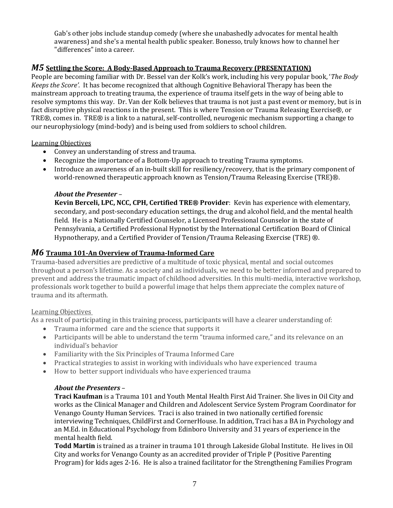Gab's other jobs include standup comedy (where she unabashedly advocates for mental health awareness) and she's a mental health public speaker. Bonesso, truly knows how to channel her "differences" into a career.

#### *M5* **Settling the Score: A Body-Based Approach to Trauma Recovery (PRESENTATION)**

People are becoming familiar with Dr. Bessel van der Kolk's work, including his very popular book, '*The Body Keeps the Score'.* It has become recognized that although Cognitive Behavioral Therapy has been the mainstream approach to treating trauma, the experience of trauma itself gets in the way of being able to resolve symptoms this way. Dr. Van der Kolk believes that trauma is not just a past event or memory, but is in fact disruptive physical reactions in the present. This is where Tension or Trauma Releasing Exercise®, or TRE®, comes in. TRE® is a link to a natural, self-controlled, neurogenic mechanism supporting a change to our neurophysiology (mind-body) and is being used from soldiers to school children.

#### Learning Objectives

- Convey an understanding of stress and trauma.
- Recognize the importance of a Bottom-Up approach to treating Trauma symptoms.
- Introduce an awareness of an in-built skill for resiliency/recovery, that is the primary component of world-renowned therapeutic approach known as Tension/Trauma Releasing Exercise (TRE)®.

#### *About the Presenter* –

**Kevin Berceli, LPC, NCC, CPH, Certified TRE® Provider**: Kevin has experience with elementary, secondary, and post-secondary education settings, the drug and alcohol field, and the mental health field. He is a Nationally Certified Counselor, a Licensed Professional Counselor in the state of Pennsylvania, a Certified Professional Hypnotist by the International Certification Board of Clinical Hypnotherapy, and a Certified Provider of Tension/Trauma Releasing Exercise (TRE) ®.

### *M6* **Trauma 101-An Overview of Trauma-Informed Care**

Trauma-based adversities are predictive of a multitude of toxic physical, mental and social outcomes throughout a person's lifetime. As a society and as individuals, we need to be better informed and prepared to prevent and address the traumatic impact of childhood adversities. In this multi-media, interactive workshop, professionals work together to build a powerful image that helps them appreciate the complex nature of trauma and its aftermath.

#### Learning Objectives

As a result of participating in this training process, participants will have a clearer understanding of:

- Trauma informed care and the science that supports it
- Participants will be able to understand the term "trauma informed care," and its relevance on an individual's behavior
- Familiarity with the Six Principles of Trauma Informed Care
- Practical strategies to assist in working with individuals who have experienced trauma
- How to better support individuals who have experienced trauma

#### *About the Presenters* –

**Traci Kaufman** is a Trauma 101 and Youth Mental Health First Aid Trainer. She lives in Oil City and works as the Clinical Manager and Children and Adolescent Service System Program Coordinator for Venango County Human Services. Traci is also trained in two nationally certified forensic interviewing Techniques, ChildFirst and CornerHouse. In addition, Traci has a BA in Psychology and an M.Ed. in Educational Psychology from Edinboro University and 31 years of experience in the mental health field.

**Todd Martin** is trained as a trainer in trauma 101 through Lakeside Global Institute. He lives in Oil City and works for Venango County as an accredited provider of Triple P (Positive Parenting Program) for kids ages 2-16. He is also a trained facilitator for the Strengthening Families Program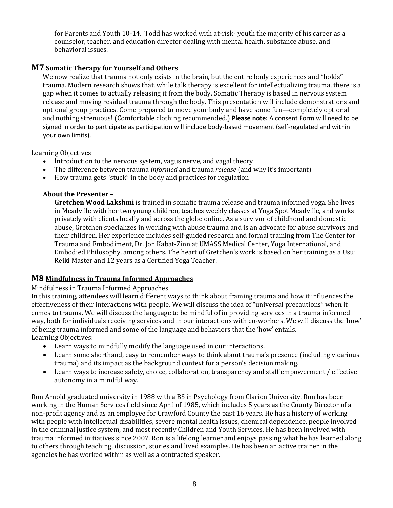for Parents and Youth 10-14. Todd has worked with at-risk- youth the majority of his career as a counselor, teacher, and education director dealing with mental health, substance abuse, and behavioral issues.

## **M7 Somatic Therapy for Yourself and Others**

We now realize that trauma not only exists in the brain, but the entire body experiences and "holds" trauma. Modern research shows that, while talk therapy is excellent for intellectualizing trauma, there is a gap when it comes to actually releasing it from the body. Somatic Therapy is based in nervous system release and moving residual trauma through the body. This presentation will include demonstrations and optional group practices. Come prepared to move your body and have some fun—completely optional and nothing strenuous! (Comfortable clothing recommended.) **Please note:** A consent Form will need to be signed in order to participate as participation will include body-based movement (self-regulated and within your own limits).

Learning Objectives

- Introduction to the nervous system, vagus nerve, and vagal theory
- The difference between trauma *informed* and trauma *release* (and why it's important)
- How trauma gets "stuck" in the body and practices for regulation

#### **About the Presenter –**

**Gretchen Wood Lakshmi** is trained in somatic trauma release and trauma informed yoga. She lives in Meadville with her two young children, teaches weekly classes at Yoga Spot Meadville, and works privately with clients locally and across the globe online. As a survivor of childhood and domestic abuse, Gretchen specializes in working with abuse trauma and is an advocate for abuse survivors and their children. Her experience includes self-guided research and formal training from The Center for Trauma and Embodiment, Dr. Jon Kabat-Zinn at UMASS Medical Center, Yoga International, and Embodied Philosophy, among others. The heart of Gretchen's work is based on her training as a Usui Reiki Master and 12 years as a Certified Yoga Teacher.

# **M8 Mindfulness in Trauma Informed Approaches**

#### Mindfulness in Trauma Informed Approaches

In this training, attendees will learn different ways to think about framing trauma and how it influences the effectiveness of their interactions with people. We will discuss the idea of "universal precautions" when it comes to trauma. We will discuss the language to be mindful of in providing services in a trauma informed way, both for individuals receiving services and in our interactions with co-workers. We will discuss the 'how' of being trauma informed and some of the language and behaviors that the 'how' entails. Learning Objectives:

- Learn ways to mindfully modify the language used in our interactions.
- Learn some shorthand, easy to remember ways to think about trauma's presence (including vicarious trauma) and its impact as the background context for a person's decision making.
- Learn ways to increase safety, choice, collaboration, transparency and staff empowerment / effective autonomy in a mindful way.

Ron Arnold graduated university in 1988 with a BS in Psychology from Clarion University. Ron has been working in the Human Services field since April of 1985, which includes 5 years as the County Director of a non-profit agency and as an employee for Crawford County the past 16 years. He has a history of working with people with intellectual disabilities, severe mental health issues, chemical dependence, people involved in the criminal justice system, and most recently Children and Youth Services. He has been involved with trauma informed initiatives since 2007. Ron is a lifelong learner and enjoys passing what he has learned along to others through teaching, discussion, stories and lived examples. He has been an active trainer in the agencies he has worked within as well as a contracted speaker.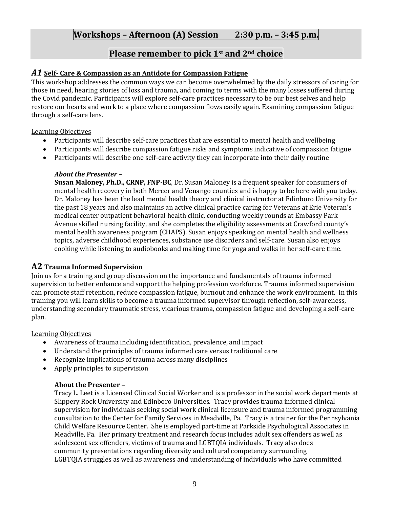# **Workshops – Afternoon (A) Session 2:30 p.m. – 3:45 p.m.**

# **Please remember to pick 1st and 2nd choice**

#### *A1* **Self- Care & Compassion as an Antidote for Compassion Fatigue**

This workshop addresses the common ways we can become overwhelmed by the daily stressors of caring for those in need, hearing stories of loss and trauma, and coming to terms with the many losses suffered during the Covid pandemic. Participants will explore self-care practices necessary to be our best selves and help restore our hearts and work to a place where compassion flows easily again. Examining compassion fatigue through a self-care lens.

Learning Objectives

- Participants will describe self-care practices that are essential to mental health and wellbeing
- Participants will describe compassion fatigue risks and symptoms indicative of compassion fatigue
- Participants will describe one self-care activity they can incorporate into their daily routine

#### *About the Presenter* –

**Susan Maloney, Ph.D., CRNP, FNP-BC**, Dr. Susan Maloney is a frequent speaker for consumers of mental health recovery in both Mercer and Venango counties and is happy to be here with you today. Dr. Maloney has been the lead mental health theory and clinical instructor at Edinboro University for the past 18 years and also maintains an active clinical practice caring for Veterans at Erie Veteran's medical center outpatient behavioral health clinic, conducting weekly rounds at Embassy Park Avenue skilled nursing facility, and she completes the eligibility assessments at Crawford county's mental health awareness program (CHAPS). Susan enjoys speaking on mental health and wellness topics, adverse childhood experiences, substance use disorders and self-care. Susan also enjoys cooking while listening to audiobooks and making time for yoga and walks in her self-care time.

#### **A2 Trauma Informed Supervision**

Join us for a training and group discussion on the importance and fundamentals of trauma informed supervision to better enhance and support the helping profession workforce. Trauma informed supervision can promote staff retention, reduce compassion fatigue, burnout and enhance the work environment. In this training you will learn skills to become a trauma informed supervisor through reflection, self-awareness, understanding secondary traumatic stress, vicarious trauma, compassion fatigue and developing a self-care plan.

Learning Objectives

- Awareness of trauma including identification, prevalence, and impact
- Understand the principles of trauma informed care versus traditional care
- Recognize implications of trauma across many disciplines
- Apply principles to supervision

#### **About the Presenter –**

Tracy L. Leet is a Licensed Clinical Social Worker and is a professor in the social work departments at Slippery Rock University and Edinboro Universities. Tracy provides trauma informed clinical supervision for individuals seeking social work clinical licensure and trauma informed programming consultation to the Center for Family Services in Meadville, Pa. Tracy is a trainer for the Pennsylvania Child Welfare Resource Center. She is employed part-time at Parkside Psychological Associates in Meadville, Pa. Her primary treatment and research focus includes adult sex offenders as well as adolescent sex offenders, victims of trauma and LGBTQIA individuals. Tracy also does community presentations regarding diversity and cultural competency surrounding LGBTQIA struggles as well as awareness and understanding of individuals who have committed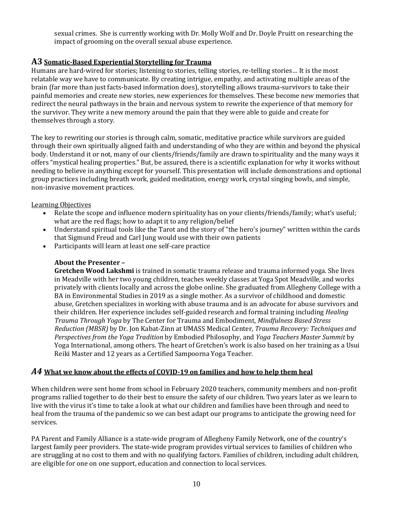sexual crimes. She is currently working with Dr. Molly Wolf and Dr. Doyle Pruitt on researching the impact of grooming on the overall sexual abuse experience.

# **A3 Somatic-Based Experiential Storytelling for Trauma**

Humans are hard-wired for stories; listening to stories, telling stories, re-telling stories… It is the most relatable way we have to communicate. By creating intrigue, empathy, and activating multiple areas of the brain (far more than just facts-based information does), storytelling allows trauma-survivors to take their painful memories and create new stories, new experiences for themselves. These become new memories that redirect the neural pathways in the brain and nervous system to rewrite the experience of that memory for the survivor. They write a new memory around the pain that they were able to guide and create for themselves through a story.

The key to rewriting our stories is through calm, somatic, meditative practice while survivors are guided through their own spiritually aligned faith and understanding of who they are within and beyond the physical body. Understand it or not, many of our clients/friends/family are drawn to spirituality and the many ways it offers "mystical healing properties." But, be assured, there is a scientific explanation for why it works without needing to believe in anything except for yourself. This presentation will include demonstrations and optional group practices including breath work, guided meditation, energy work, crystal singing bowls, and simple, non-invasive movement practices.

#### Learning Objectives

- Relate the scope and influence modern spirituality has on your clients/friends/family; what's useful; what are the red flags; how to adapt it to any religion/belief
- Understand spiritual tools like the Tarot and the story of "the hero's journey" written within the cards that Sigmund Freud and Carl Jung would use with their own patients
- Participants will learn at least one self-care practice

#### **About the Presenter –**

**Gretchen Wood Lakshmi** is trained in somatic trauma release and trauma informed yoga. She lives in Meadville with her two young children, teaches weekly classes at Yoga Spot Meadville, and works privately with clients locally and across the globe online. She graduated from Allegheny College with a BA in Environmental Studies in 2019 as a single mother. As a survivor of childhood and domestic abuse, Gretchen specializes in working with abuse trauma and is an advocate for abuse survivors and their children. Her experience includes self-guided research and formal training including *Healing Trauma Through Yoga* by The Center for Trauma and Embodiment, *Mindfulness Based Stress Reduction (MBSR)* by Dr. Jon Kabat-Zinn at UMASS Medical Center, *Trauma Recovery: Techniques and Perspectives from the Yoga Tradition* by Embodied Philosophy, and *Yoga Teachers Master Summit* by Yoga International, among others. The heart of Gretchen's work is also based on her training as a Usui Reiki Master and 12 years as a Certified Sampoorna Yoga Teacher.

#### *A4* **What we know about the effects of COVID-19 on families and how to help them heal**

When children were sent home from school in February 2020 teachers, community members and non-profit programs rallied together to do their best to ensure the safety of our children. Two years later as we learn to live with the virus it's time to take a look at what our children and families have been through and need to heal from the trauma of the pandemic so we can best adapt our programs to anticipate the growing need for services.

PA Parent and Family Alliance is a state-wide program of Allegheny Family Network, one of the country's largest family peer providers. The state-wide program provides virtual services to families of children who are struggling at no cost to them and with no qualifying factors. Families of children, including adult children, are eligible for one on one support, education and connection to local services.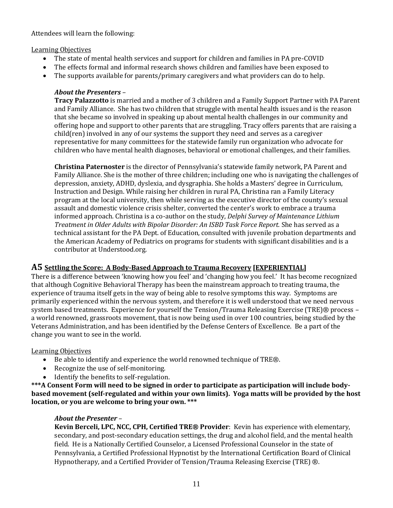Attendees will learn the following:

#### Learning Objectives

- The state of mental health services and support for children and families in PA pre-COVID
- The effects formal and informal research shows children and families have been exposed to
- The supports available for parents/primary caregivers and what providers can do to help.

# *About the Presenters* –

**Tracy Palazzotto** is married and a mother of 3 children and a Family Support Partner with PA Parent and Family Alliance. She has two children that struggle with mental health issues and is the reason that she became so involved in speaking up about mental health challenges in our community and offering hope and support to other parents that are struggling. Tracy offers parents that are raising a child(ren) involved in any of our systems the support they need and serves as a caregiver representative for many committees for the statewide family run organization who advocate for children who have mental health diagnoses, behavioral or emotional challenges, and their families.

**Christina Paternoster** is the director of Pennsylvania's statewide family network, PA Parent and Family Alliance. She is the mother of three children; including one who is navigating the challenges of depression, anxiety, ADHD, dyslexia, and dysgraphia. She holds a Masters' degree in Curriculum, Instruction and Design. While raising her children in rural PA, Christina ran a Family Literacy program at the local university, then while serving as the executive director of the county's sexual assault and domestic violence crisis shelter, converted the center's work to embrace a trauma informed approach. Christina is a co-author on the study, *Delphi Survey of Maintenance Lithium Treatment in Older Adults with Bipolar Disorder: An ISBD Task Force Report.* She has served as a technical assistant for the PA Dept. of Education, consulted with juvenile probation departments and the American Academy of Pediatrics on programs for students with significant disabilities and is a contributor at Understood.org.

# **A5 Settling the Score: A Body-Based Approach to Trauma Recovery [EXPERIENTIAL]**

There is a difference between 'knowing how you feel' and 'changing how you feel.' It has become recognized that although Cognitive Behavioral Therapy has been the mainstream approach to treating trauma, the experience of trauma itself gets in the way of being able to resolve symptoms this way. Symptoms are primarily experienced within the nervous system, and therefore it is well understood that we need nervous system based treatments. Experience for yourself the Tension/Trauma Releasing Exercise (TRE)® process a world renowned, grassroots movement, that is now being used in over 100 countries, being studied by the Veterans Administration, and has been identified by the Defense Centers of Excellence. Be a part of the change you want to see in the world.

# Learning Objectives

- Be able to identify and experience the world renowned technique of TRE®.
- Recognize the use of self-monitoring.
- Identify the benefits to self-regulation.

**\*\*\*A Consent Form will need to be signed in order to participate as participation will include bodybased movement (self-regulated and within your own limits). Yoga matts will be provided by the host location, or you are welcome to bring your own. \*\*\*** 

# *About the Presenter* –

**Kevin Berceli, LPC, NCC, CPH, Certified TRE® Provider**: Kevin has experience with elementary, secondary, and post-secondary education settings, the drug and alcohol field, and the mental health field. He is a Nationally Certified Counselor, a Licensed Professional Counselor in the state of Pennsylvania, a Certified Professional Hypnotist by the International Certification Board of Clinical Hypnotherapy, and a Certified Provider of Tension/Trauma Releasing Exercise (TRE) ®.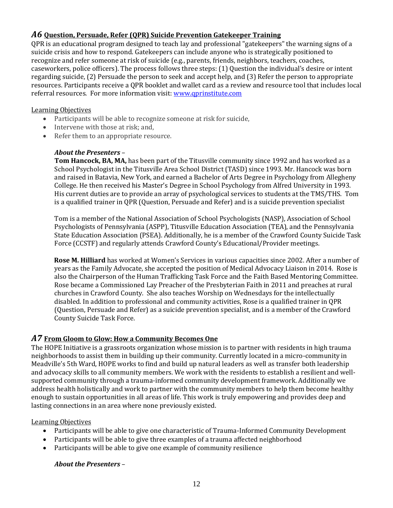# *A6* **Question, Persuade, Refer (QPR) Suicide Prevention Gatekeeper Training**

QPR is an educational program designed to teach lay and professional "gatekeepers" the warning signs of a suicide crisis and how to respond. Gatekeepers can include anyone who is strategically positioned to recognize and refer someone at risk of suicide (e.g., parents, friends, neighbors, teachers, coaches, caseworkers, police officers). The process follows three steps: (1) Question the individual's desire or intent regarding suicide, (2) Persuade the person to seek and accept help, and (3) Refer the person to appropriate resources. Participants receive a QPR booklet and wallet card as a review and resource tool that includes local referral resources. For more information visit[: www.qprinstitute.com](http://www.qprinstitute.com/) 

#### Learning Objectives

- Participants will be able to recognize someone at risk for suicide,
- Intervene with those at risk; and,
- Refer them to an appropriate resource.

#### *About the Presenters* –

**Tom Hancock, BA, MA,** has been part of the Titusville community since 1992 and has worked as a School Psychologist in the Titusville Area School District (TASD) since 1993. Mr. Hancock was born and raised in Batavia, New York, and earned a Bachelor of Arts Degree in Psychology from Allegheny College. He then received his Master's Degree in School Psychology from Alfred University in 1993. His current duties are to provide an array of psychological services to students at the TMS/THS. Tom is a qualified trainer in QPR (Question, Persuade and Refer) and is a suicide prevention specialist

Tom is a member of the National Association of School Psychologists (NASP), Association of School Psychologists of Pennsylvania (ASPP), Titusville Education Association (TEA), and the Pennsylvania State Education Association (PSEA). Additionally, he is a member of the Crawford County Suicide Task Force (CCSTF) and regularly attends Crawford County's Educational/Provider meetings.

**Rose M. Hilliard** has worked at Women's Services in various capacities since 2002. After a number of years as the Family Advocate, she accepted the position of Medical Advocacy Liaison in 2014. Rose is also the Chairperson of the Human Trafficking Task Force and the Faith Based Mentoring Committee. Rose became a Commissioned Lay Preacher of the Presbyterian Faith in 2011 and preaches at rural churches in Crawford County. She also teaches Worship on Wednesdays for the intellectually disabled. In addition to professional and community activities, Rose is a qualified trainer in QPR (Question, Persuade and Refer) as a suicide prevention specialist, and is a member of the Crawford County Suicide Task Force.

# *A7* **From Gloom to Glow: How a Community Becomes One**

The HOPE Initiative is a grassroots organization whose mission is to partner with residents in high trauma neighborhoods to assist them in building up their community. Currently located in a micro-community in Meadville's 5th Ward, HOPE works to find and build up natural leaders as well as transfer both leadership and advocacy skills to all community members. We work with the residents to establish a resilient and wellsupported community through a trauma-informed community development framework. Additionally we address health holistically and work to partner with the community members to help them become healthy enough to sustain opportunities in all areas of life. This work is truly empowering and provides deep and lasting connections in an area where none previously existed.

#### Learning Objectives

- Participants will be able to give one characteristic of Trauma-Informed Community Development
- Participants will be able to give three examples of a trauma affected neighborhood
- Participants will be able to give one example of community resilience

#### *About the Presenters* –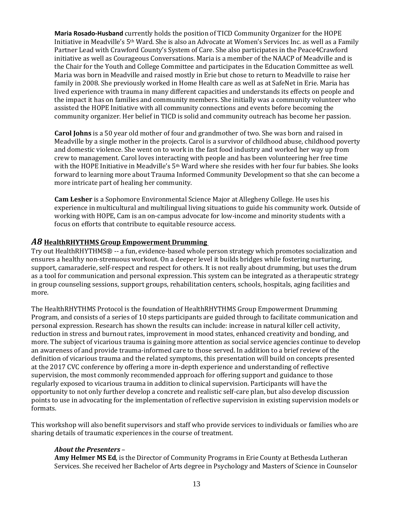**Maria Rosado-Husband** currently holds the position of TICD Community Organizer for the HOPE Initiative in Meadville's 5th Ward. She is also an Advocate at Women's Services Inc. as well as a Family Partner Lead with Crawford County's System of Care. She also participates in the Peace4Crawford initiative as well as Courageous Conversations. Maria is a member of the NAACP of Meadville and is the Chair for the Youth and College Committee and participates in the Education Committee as well. Maria was born in Meadville and raised mostly in Erie but chose to return to Meadville to raise her family in 2008. She previously worked in Home Health care as well as at SafeNet in Erie. Maria has lived experience with trauma in many different capacities and understands its effects on people and the impact it has on families and community members. She initially was a community volunteer who assisted the HOPE Initiative with all community connections and events before becoming the community organizer. Her belief in TICD is solid and community outreach has become her passion.

**Carol Johns** is a 50 year old mother of four and grandmother of two. She was born and raised in Meadville by a single mother in the projects. Carol is a survivor of childhood abuse, childhood poverty and domestic violence. She went on to work in the fast food industry and worked her way up from crew to management. Carol loves interacting with people and has been volunteering her free time with the HOPE Initiative in Meadville's 5<sup>th</sup> Ward where she resides with her four fur babies. She looks forward to learning more about Trauma Informed Community Development so that she can become a more intricate part of healing her community.

**Cam Lesher** is a Sophomore Environmental Science Major at Allegheny College. He uses his experience in multicultural and multilingual living situations to guide his community work. Outside of working with HOPE, Cam is an on-campus advocate for low-income and minority students with a focus on efforts that contribute to equitable resource access.

#### *A8* **HealthRHYTHMS Group Empowerment Drumming**

Try out HealthRHYTHMS® -- a fun, evidence-based whole person strategy which promotes socialization and ensures a healthy non-strenuous workout. On a deeper level it builds bridges while fostering nurturing, support, camaraderie, self-respect and respect for others. It is not really about drumming, but uses the drum as a tool for communication and personal expression. This system can be integrated as a therapeutic strategy in group counseling sessions, support groups, rehabilitation centers, schools, hospitals, aging facilities and more.

The HealthRHYTHMS Protocol is the foundation of HealthRHYTHMS Group Empowerment Drumming Program, and consists of a series of 10 steps participants are guided through to facilitate communication and personal expression. Research has shown the results can include: increase in natural killer cell activity, reduction in stress and burnout rates, improvement in mood states, enhanced creativity and bonding, and more. The subject of vicarious trauma is gaining more attention as social service agencies continue to develop an awareness of and provide trauma-informed care to those served. In addition to a brief review of the definition of vicarious trauma and the related symptoms, this presentation will build on concepts presented at the 2017 CVC conference by offering a more in-depth experience and understanding of reflective supervision, the most commonly recommended approach for offering support and guidance to those regularly exposed to vicarious trauma in addition to clinical supervision. Participants will have the opportunity to not only further develop a concrete and realistic self-care plan, but also develop discussion points to use in advocating for the implementation of reflective supervision in existing supervision models or formats.

This workshop will also benefit supervisors and staff who provide services to individuals or families who are sharing details of traumatic experiences in the course of treatment.

#### *About the Presenters* –

**Amy Helmer MS Ed**, is the Director of Community Programs in Erie County at Bethesda Lutheran Services. She received her Bachelor of Arts degree in Psychology and Masters of Science in Counselor